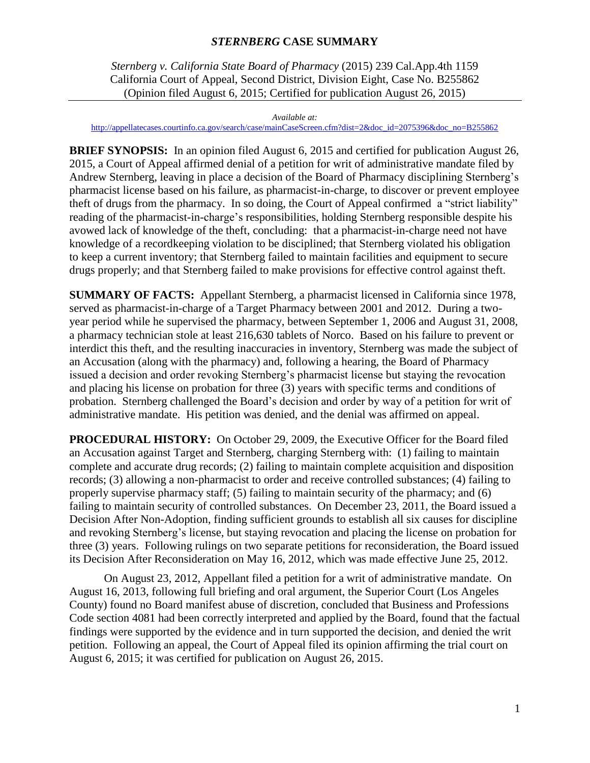# *STERNBERG* **CASE SUMMARY**

 *Sternberg v. California State Board of Pharmacy* (2015) 239 Cal.App.4th 1159 California Court of Appeal, Second District, Division Eight, Case No. B255862 (Opinion filed August 6, 2015; Certified for publication August 26, 2015)

*Available at:*  [http://appellatecases.courtinfo.ca.gov/search/case/mainCaseScreen.cfm?dist=2&doc\\_id=2075396&doc\\_no=B255862](http://appellatecases.courtinfo.ca.gov/search/case/mainCaseScreen.cfm?dist=2&doc_id=2075396&doc_no=B255862) 

 **BRIEF SYNOPSIS:** In an opinion filed August 6, 2015 and certified for publication August 26, 2015, a Court of Appeal affirmed denial of a petition for writ of administrative mandate filed by Andrew Sternberg, leaving in place a decision of the Board of Pharmacy disciplining Sternberg's pharmacist license based on his failure, as pharmacist-in-charge, to discover or prevent employee theft of drugs from the pharmacy. In so doing, the Court of Appeal confirmed a "strict liability" reading of the pharmacist-in-charge's responsibilities, holding Sternberg responsible despite his avowed lack of knowledge of the theft, concluding: that a pharmacist-in-charge need not have knowledge of a recordkeeping violation to be disciplined; that Sternberg violated his obligation to keep a current inventory; that Sternberg failed to maintain facilities and equipment to secure drugs properly; and that Sternberg failed to make provisions for effective control against theft.

 **SUMMARY OF FACTS:** Appellant Sternberg, a pharmacist licensed in California since 1978, served as pharmacist-in-charge of a Target Pharmacy between 2001 and 2012. During a twoyear period while he supervised the pharmacy, between September 1, 2006 and August 31, 2008, a pharmacy technician stole at least 216,630 tablets of Norco. Based on his failure to prevent or interdict this theft, and the resulting inaccuracies in inventory, Sternberg was made the subject of an Accusation (along with the pharmacy) and, following a hearing, the Board of Pharmacy issued a decision and order revoking Sternberg's pharmacist license but staying the revocation and placing his license on probation for three (3) years with specific terms and conditions of probation. Sternberg challenged the Board's decision and order by way of a petition for writ of administrative mandate. His petition was denied, and the denial was affirmed on appeal.

 **PROCEDURAL HISTORY:** On October 29, 2009, the Executive Officer for the Board filed and revoking Sternberg's license, but staying revocation and placing the license on probation for three (3) years. Following rulings on two separate petitions for reconsideration, the Board issued an Accusation against Target and Sternberg, charging Sternberg with: (1) failing to maintain complete and accurate drug records; (2) failing to maintain complete acquisition and disposition records; (3) allowing a non-pharmacist to order and receive controlled substances; (4) failing to properly supervise pharmacy staff; (5) failing to maintain security of the pharmacy; and (6) failing to maintain security of controlled substances. On December 23, 2011, the Board issued a Decision After Non-Adoption, finding sufficient grounds to establish all six causes for discipline its Decision After Reconsideration on May 16, 2012, which was made effective June 25, 2012.

On August 23, 2012, Appellant filed a petition for a writ of administrative mandate. On August 16, 2013, following full briefing and oral argument, the Superior Court (Los Angeles County) found no Board manifest abuse of discretion, concluded that Business and Professions Code section 4081 had been correctly interpreted and applied by the Board, found that the factual findings were supported by the evidence and in turn supported the decision, and denied the writ petition. Following an appeal, the Court of Appeal filed its opinion affirming the trial court on August 6, 2015; it was certified for publication on August 26, 2015.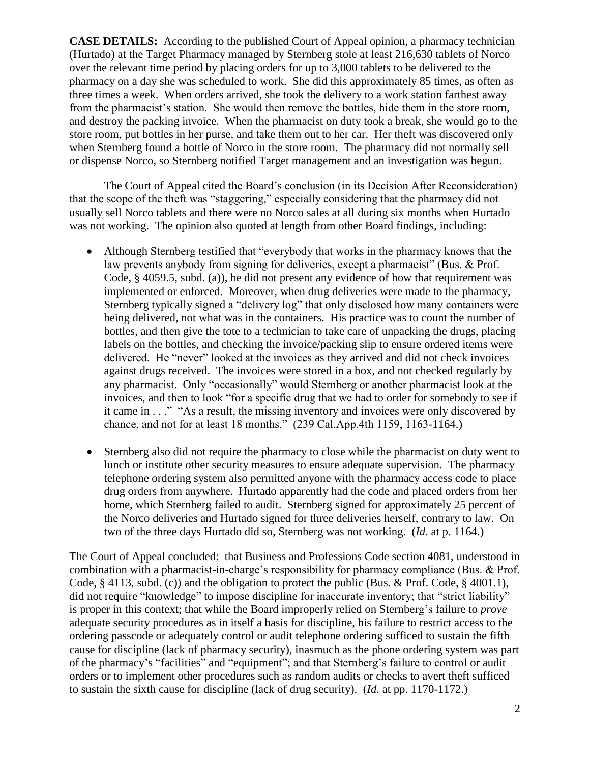(Hurtado) at the Target Pharmacy managed by Sternberg stole at least 216,630 tablets of Norco when Sternberg found a bottle of Norco in the store room. The pharmacy did not normally sell **CASE DETAILS:** According to the published Court of Appeal opinion, a pharmacy technician over the relevant time period by placing orders for up to 3,000 tablets to be delivered to the pharmacy on a day she was scheduled to work. She did this approximately 85 times, as often as three times a week. When orders arrived, she took the delivery to a work station farthest away from the pharmacist's station. She would then remove the bottles, hide them in the store room, and destroy the packing invoice. When the pharmacist on duty took a break, she would go to the store room, put bottles in her purse, and take them out to her car. Her theft was discovered only or dispense Norco, so Sternberg notified Target management and an investigation was begun.

 usually sell Norco tablets and there were no Norco sales at all during six months when Hurtado The Court of Appeal cited the Board's conclusion (in its Decision After Reconsideration) that the scope of the theft was "staggering," especially considering that the pharmacy did not was not working. The opinion also quoted at length from other Board findings, including:

- delivered. He "never" looked at the invoices as they arrived and did not check invoices against drugs received. The invoices were stored in a box, and not checked regularly by Although Sternberg testified that "everybody that works in the pharmacy knows that the law prevents anybody from signing for deliveries, except a pharmacist" (Bus. & Prof. Code, § 4059.5, subd. (a)), he did not present any evidence of how that requirement was implemented or enforced. Moreover, when drug deliveries were made to the pharmacy, Sternberg typically signed a "delivery log" that only disclosed how many containers were being delivered, not what was in the containers. His practice was to count the number of bottles, and then give the tote to a technician to take care of unpacking the drugs, placing labels on the bottles, and checking the invoice/packing slip to ensure ordered items were any pharmacist. Only "occasionally" would Sternberg or another pharmacist look at the invoices, and then to look "for a specific drug that we had to order for somebody to see if it came in . . ." "As a result, the missing inventory and invoices were only discovered by chance, and not for at least 18 months." (239 Cal.App.4th 1159, 1163-1164.)
- lunch or institute other security measures to ensure adequate supervision. The pharmacy Sternberg also did not require the pharmacy to close while the pharmacist on duty went to telephone ordering system also permitted anyone with the pharmacy access code to place drug orders from anywhere. Hurtado apparently had the code and placed orders from her home, which Sternberg failed to audit. Sternberg signed for approximately 25 percent of the Norco deliveries and Hurtado signed for three deliveries herself, contrary to law. On two of the three days Hurtado did so, Sternberg was not working. (*Id.* at p. 1164.)

 did not require "knowledge" to impose discipline for inaccurate inventory; that "strict liability" is proper in this context; that while the Board improperly relied on Sternberg's failure to *prove*  ordering passcode or adequately control or audit telephone ordering sufficed to sustain the fifth of the pharmacy's "facilities" and "equipment"; and that Sternberg's failure to control or audit orders or to implement other procedures such as random audits or checks to avert theft sufficed The Court of Appeal concluded: that Business and Professions Code section 4081, understood in combination with a pharmacist-in-charge's responsibility for pharmacy compliance (Bus. & Prof. Code, § 4113, subd. (c)) and the obligation to protect the public (Bus. & Prof. Code, § 4001.1), adequate security procedures as in itself a basis for discipline, his failure to restrict access to the cause for discipline (lack of pharmacy security), inasmuch as the phone ordering system was part to sustain the sixth cause for discipline (lack of drug security). (*Id.* at pp. 1170-1172.)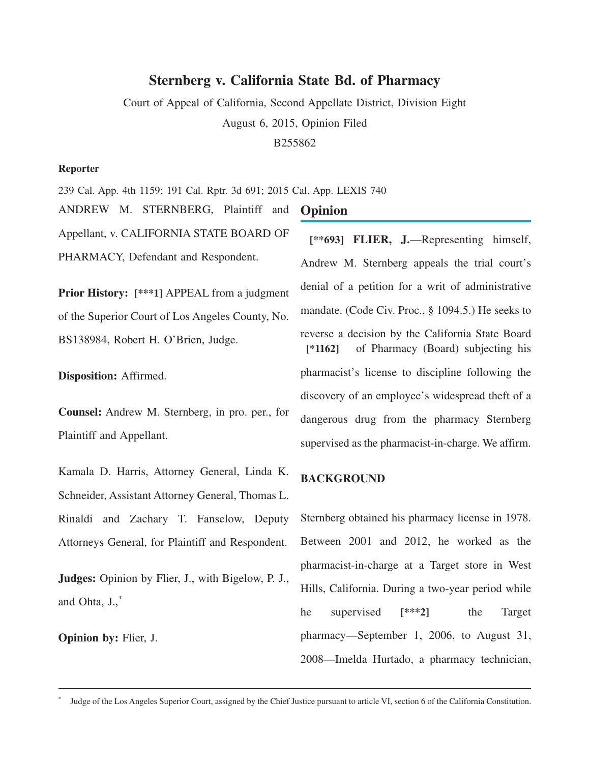# **Sternberg v. California State Bd. of Pharmacy**

Court of Appeal of California, Second Appellate District, Division Eight August 6, 2015, Opinion Filed B255862

#### **Reporter**

239 Cal. App. 4th 1159; 191 Cal. Rptr. 3d 691; 2015 Cal. App. LEXIS 740

ANDREW M. STERNBERG, Plaintiff and Appellant, v. CALIFORNIA STATE BOARD OF PHARMACY, Defendant and Respondent.

**Prior History: [\*\*\*1]** APPEAL from a judgment of the Superior Court of Los Angeles County, No. BS138984, Robert H. O'Brien, Judge.

**Disposition:** Affirmed.

**Counsel:** Andrew M. Sternberg, in pro. per., for Plaintiff and Appellant.

Kamala D. Harris, Attorney General, Linda K. Schneider, Assistant Attorney General, Thomas L. Rinaldi and Zachary T. Fanselow, Deputy Attorneys General, for Plaintiff and Respondent.

**Judges:** Opinion by Flier, J., with Bigelow, P. J., and Ohta, J.,\*

**Opinion by:** Flier, J.

## **Opinion**

**[\*\*693] FLIER, J.**—Representing himself, Andrew M. Sternberg appeals the trial court's denial of a petition for a writ of administrative mandate. (Code Civ. Proc., § 1094.5.) He seeks to reverse a decision by the California State Board **[\*1162]** of Pharmacy (Board) subjecting his pharmacist's license to discipline following the discovery of an employee's widespread theft of a dangerous drug from the pharmacy Sternberg supervised as the pharmacist-in-charge. We affirm.

#### **BACKGROUND**

Sternberg obtained his pharmacy license in 1978. Between 2001 and 2012, he worked as the pharmacist-in-charge at a Target store in West Hills, California. During a two-year period while he supervised **[\*\*\*2]** the Target pharmacy—September 1, 2006, to August 31, 2008—Imelda Hurtado, a pharmacy technician,

Judge of the Los Angeles Superior Court, assigned by the Chief Justice pursuant to article VI, section 6 of the California Constitution.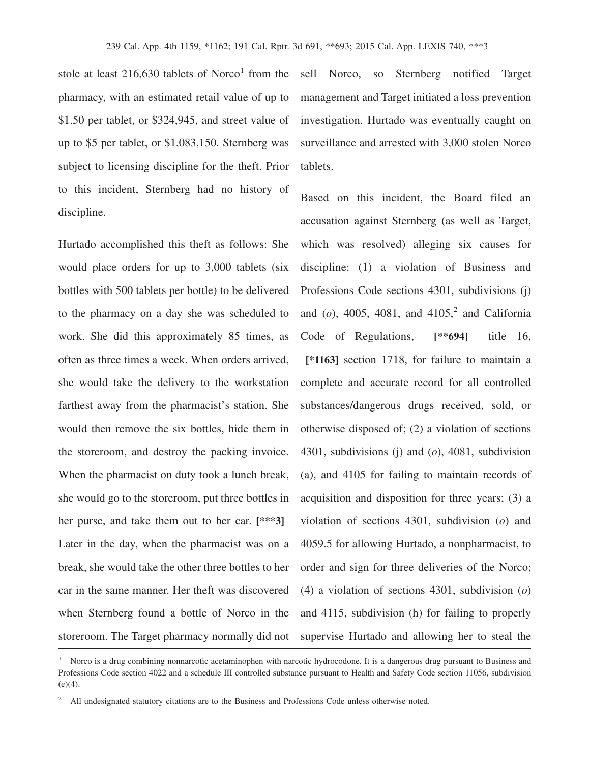stole at least  $216,630$  tablets of Norco<sup>1</sup> from the pharmacy, with an estimated retail value of up to \$1.50 per tablet, or \$324,945, and street value of up to \$5 per tablet, or \$1,083,150. Sternberg was subject to licensing discipline for the theft. Prior to this incident, Sternberg had no history of discipline.

Hurtado accomplished this theft as follows: She would place orders for up to 3,000 tablets (six bottles with 500 tablets per bottle) to be delivered to the pharmacy on a day she was scheduled to work. She did this approximately 85 times, as often as three times a week. When orders arrived, she would take the delivery to the workstation farthest away from the pharmacist's station. She would then remove the six bottles, hide them in the storeroom, and destroy the packing invoice. When the pharmacist on duty took a lunch break, she would go to the storeroom, put three bottles in her purse, and take them out to her car. **[\*\*\*3]** Later in the day, when the pharmacist was on a break, she would take the other three bottles to her car in the same manner. Her theft was discovered when Sternberg found a bottle of Norco in the storeroom. The Target pharmacy normally did not sell Norco, so Sternberg notified Target management and Target initiated a loss prevention investigation. Hurtado was eventually caught on surveillance and arrested with 3,000 stolen Norco tablets.

Based on this incident, the Board filed an accusation against Sternberg (as well as Target, which was resolved) alleging six causes for discipline: (1) a violation of Business and Professions Code sections 4301, subdivisions (j) and  $(o)$ , 4005, 4081, and 4105,<sup>2</sup> and California Code of Regulations, **[\*\*694]** title 16, **[\*1163]** section 1718, for failure to maintain a complete and accurate record for all controlled substances/dangerous drugs received, sold, or otherwise disposed of; (2) a violation of sections 4301, subdivisions (j) and (*o*), 4081, subdivision (a), and 4105 for failing to maintain records of acquisition and disposition for three years; (3) a violation of sections 4301, subdivision (*o*) and 4059.5 for allowing Hurtado, a nonpharmacist, to order and sign for three deliveries of the Norco; (4) a violation of sections 4301, subdivision (*o*) and 4115, subdivision (h) for failing to properly supervise Hurtado and allowing her to steal the

<sup>1</sup> Norco is a drug combining nonnarcotic acetaminophen with narcotic hydrocodone. It is a dangerous drug pursuant to Business and Professions Code section 4022 and a schedule III controlled substance pursuant to Health and Safety Code section 11056, subdivision  $(e)(4)$ .

<sup>&</sup>lt;sup>2</sup> All undesignated statutory citations are to the Business and Professions Code unless otherwise noted.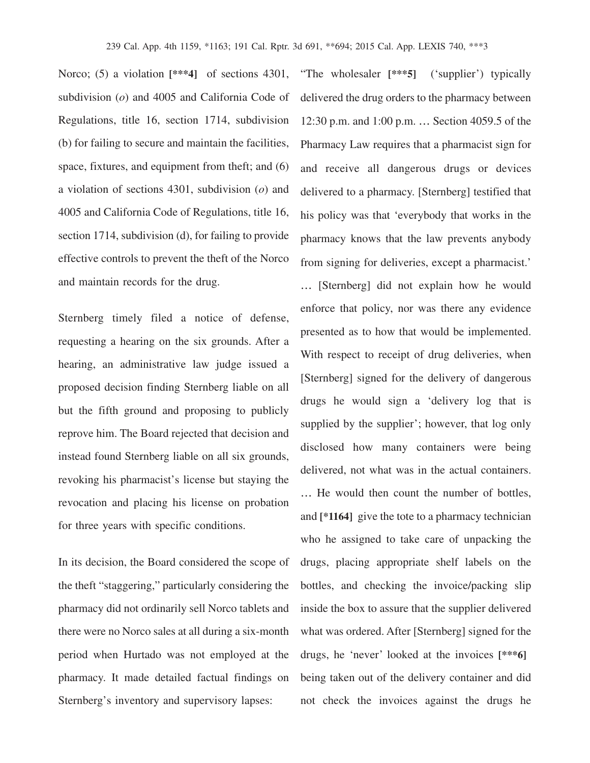Norco; (5) a violation  $[***4]$  of sections 4301, subdivision (*o*) and 4005 and California Code of Regulations, title 16, section 1714, subdivision (b) for failing to secure and maintain the facilities, space, fixtures, and equipment from theft; and (6) a violation of sections 4301, subdivision (*o*) and 4005 and California Code of Regulations, title 16, section 1714, subdivision (d), for failing to provide effective controls to prevent the theft of the Norco and maintain records for the drug.

Sternberg timely filed a notice of defense, requesting a hearing on the six grounds. After a hearing, an administrative law judge issued a proposed decision finding Sternberg liable on all but the fifth ground and proposing to publicly reprove him. The Board rejected that decision and instead found Sternberg liable on all six grounds, revoking his pharmacist's license but staying the revocation and placing his license on probation for three years with specific conditions.

In its decision, the Board considered the scope of the theft "staggering," particularly considering the pharmacy did not ordinarily sell Norco tablets and there were no Norco sales at all during a six-month period when Hurtado was not employed at the pharmacy. It made detailed factual findings on Sternberg's inventory and supervisory lapses:

"The wholesaler **[\*\*\*5]** ('supplier') typically delivered the drug orders to the pharmacy between 12:30 p.m. and 1:00 p.m. … Section 4059.5 of the Pharmacy Law requires that a pharmacist sign for and receive all dangerous drugs or devices delivered to a pharmacy. [Sternberg] testified that his policy was that 'everybody that works in the pharmacy knows that the law prevents anybody from signing for deliveries, except a pharmacist.' … [Sternberg] did not explain how he would enforce that policy, nor was there any evidence presented as to how that would be implemented. With respect to receipt of drug deliveries, when [Sternberg] signed for the delivery of dangerous drugs he would sign a 'delivery log that is supplied by the supplier'; however, that log only disclosed how many containers were being delivered, not what was in the actual containers. … He would then count the number of bottles, and **[\*1164]** give the tote to a pharmacy technician who he assigned to take care of unpacking the drugs, placing appropriate shelf labels on the bottles, and checking the invoice/packing slip inside the box to assure that the supplier delivered what was ordered. After [Sternberg] signed for the drugs, he 'never' looked at the invoices **[\*\*\*6]** being taken out of the delivery container and did not check the invoices against the drugs he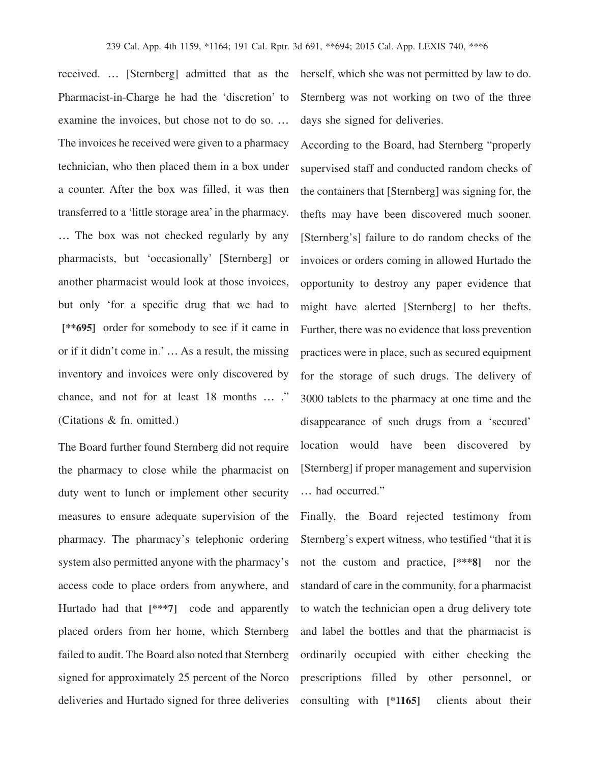received. … [Sternberg] admitted that as the Pharmacist-in-Charge he had the 'discretion' to examine the invoices, but chose not to do so. … The invoices he received were given to a pharmacy technician, who then placed them in a box under a counter. After the box was filled, it was then transferred to a 'little storage area'in the pharmacy. … The box was not checked regularly by any pharmacists, but 'occasionally' [Sternberg] or another pharmacist would look at those invoices, but only 'for a specific drug that we had to **[\*\*695]** order for somebody to see if it came in or if it didn't come in.' … As a result, the missing inventory and invoices were only discovered by chance, and not for at least 18 months … ." (Citations & fn. omitted.)

The Board further found Sternberg did not require the pharmacy to close while the pharmacist on duty went to lunch or implement other security measures to ensure adequate supervision of the pharmacy. The pharmacy's telephonic ordering system also permitted anyone with the pharmacy's access code to place orders from anywhere, and Hurtado had that **[\*\*\*7]** code and apparently placed orders from her home, which Sternberg failed to audit. The Board also noted that Sternberg signed for approximately 25 percent of the Norco deliveries and Hurtado signed for three deliveries herself, which she was not permitted by law to do. Sternberg was not working on two of the three days she signed for deliveries.

According to the Board, had Sternberg "properly supervised staff and conducted random checks of the containers that [Sternberg] was signing for, the thefts may have been discovered much sooner. [Sternberg's] failure to do random checks of the invoices or orders coming in allowed Hurtado the opportunity to destroy any paper evidence that might have alerted [Sternberg] to her thefts. Further, there was no evidence that loss prevention practices were in place, such as secured equipment for the storage of such drugs. The delivery of 3000 tablets to the pharmacy at one time and the disappearance of such drugs from a 'secured' location would have been discovered by [Sternberg] if proper management and supervision … had occurred."

Finally, the Board rejected testimony from Sternberg's expert witness, who testified "that it is not the custom and practice, **[\*\*\*8]** nor the standard of care in the community, for a pharmacist to watch the technician open a drug delivery tote and label the bottles and that the pharmacist is ordinarily occupied with either checking the prescriptions filled by other personnel, or consulting with **[\*1165]** clients about their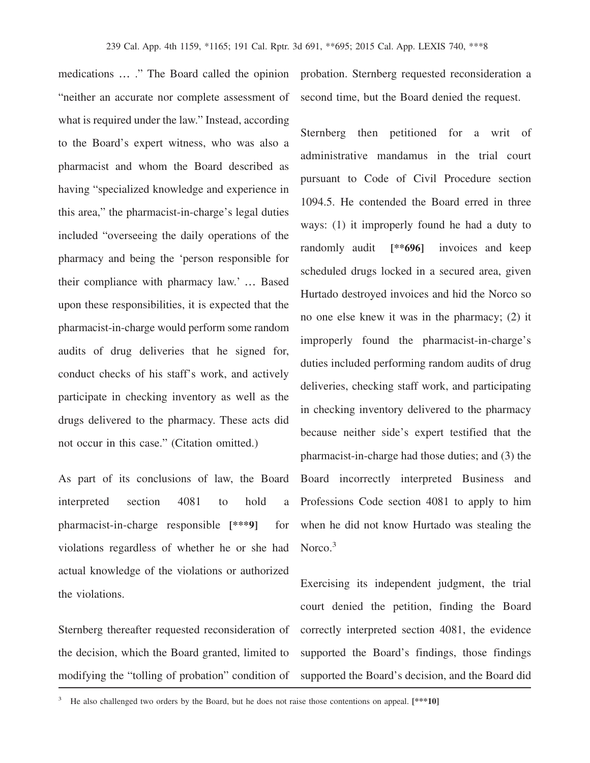medications … ." The Board called the opinion "neither an accurate nor complete assessment of what is required under the law." Instead, according to the Board's expert witness, who was also a pharmacist and whom the Board described as having "specialized knowledge and experience in this area," the pharmacist-in-charge's legal duties included "overseeing the daily operations of the pharmacy and being the 'person responsible for their compliance with pharmacy law.' … Based upon these responsibilities, it is expected that the pharmacist-in-charge would perform some random audits of drug deliveries that he signed for, conduct checks of his staff's work, and actively participate in checking inventory as well as the drugs delivered to the pharmacy. These acts did not occur in this case." (Citation omitted.)

As part of its conclusions of law, the Board interpreted section 4081 to hold a pharmacist-in-charge responsible **[\*\*\*9]** for violations regardless of whether he or she had actual knowledge of the violations or authorized the violations.

Sternberg thereafter requested reconsideration of the decision, which the Board granted, limited to modifying the "tolling of probation" condition of probation. Sternberg requested reconsideration a second time, but the Board denied the request.

Sternberg then petitioned for a writ of administrative mandamus in the trial court pursuant to Code of Civil Procedure section 1094.5. He contended the Board erred in three ways: (1) it improperly found he had a duty to randomly audit **[\*\*696]** invoices and keep scheduled drugs locked in a secured area, given Hurtado destroyed invoices and hid the Norco so no one else knew it was in the pharmacy; (2) it improperly found the pharmacist-in-charge's duties included performing random audits of drug deliveries, checking staff work, and participating in checking inventory delivered to the pharmacy because neither side's expert testified that the pharmacist-in-charge had those duties; and (3) the Board incorrectly interpreted Business and Professions Code section 4081 to apply to him when he did not know Hurtado was stealing the Norco.<sup>3</sup>

Exercising its independent judgment, the trial court denied the petition, finding the Board correctly interpreted section 4081, the evidence supported the Board's findings, those findings supported the Board's decision, and the Board did

<sup>&</sup>lt;sup>3</sup> He also challenged two orders by the Board, but he does not raise those contentions on appeal. [\*\*\*10]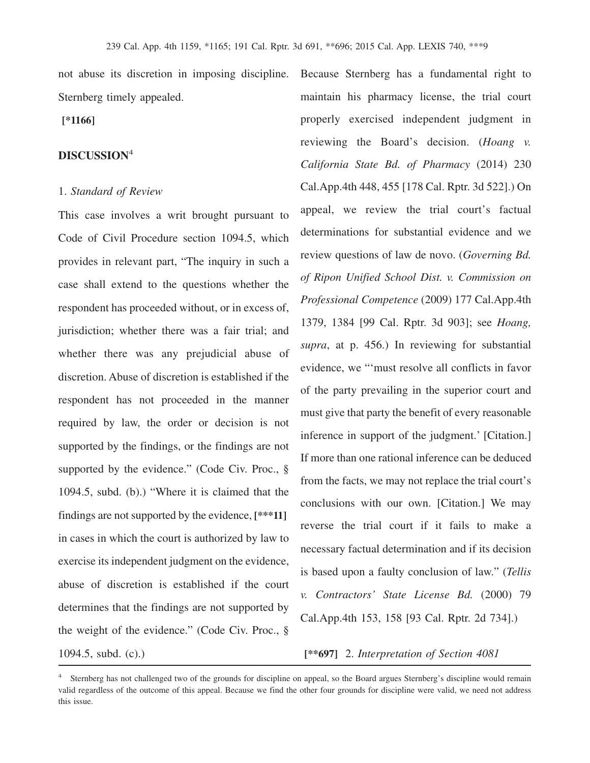not abuse its discretion in imposing discipline. Sternberg timely appealed.

**[\*1166]**

## **DISCUSSION**<sup>4</sup>

#### 1. *Standard of Review*

This case involves a writ brought pursuant to Code of Civil Procedure section 1094.5, which provides in relevant part, "The inquiry in such a case shall extend to the questions whether the respondent has proceeded without, or in excess of, jurisdiction; whether there was a fair trial; and whether there was any prejudicial abuse of discretion. Abuse of discretion is established if the respondent has not proceeded in the manner required by law, the order or decision is not supported by the findings, or the findings are not supported by the evidence." (Code Civ. Proc., § 1094.5, subd. (b).) "Where it is claimed that the findings are not supported by the evidence, **[\*\*\*11]** in cases in which the court is authorized by law to exercise its independent judgment on the evidence, abuse of discretion is established if the court determines that the findings are not supported by the weight of the evidence." (Code Civ. Proc., §

Because Sternberg has a fundamental right to maintain his pharmacy license, the trial court properly exercised independent judgment in reviewing the Board's decision. (*Hoang v. California State Bd. of Pharmacy* (2014) 230 Cal.App.4th 448, 455 [178 Cal. Rptr. 3d 522].) On appeal, we review the trial court's factual determinations for substantial evidence and we review questions of law de novo. (*Governing Bd. of Ripon Unified School Dist. v. Commission on Professional Competence* (2009) 177 Cal.App.4th 1379, 1384 [99 Cal. Rptr. 3d 903]; see *Hoang, supra*, at p. 456.) In reviewing for substantial evidence, we "'must resolve all conflicts in favor of the party prevailing in the superior court and must give that party the benefit of every reasonable inference in support of the judgment.' [Citation.] If more than one rational inference can be deduced from the facts, we may not replace the trial court's conclusions with our own. [Citation.] We may reverse the trial court if it fails to make a necessary factual determination and if its decision is based upon a faulty conclusion of law." (*Tellis v. Contractors' State License Bd.* (2000) 79 Cal.App.4th 153, 158 [93 Cal. Rptr. 2d 734].)

1094.5, subd. (c).) **[\*\*697]** 2. *Interpretation of Section 4081*

<sup>&</sup>lt;sup>4</sup> Sternberg has not challenged two of the grounds for discipline on appeal, so the Board argues Sternberg's discipline would remain valid regardless of the outcome of this appeal. Because we find the other four grounds for discipline were valid, we need not address this issue.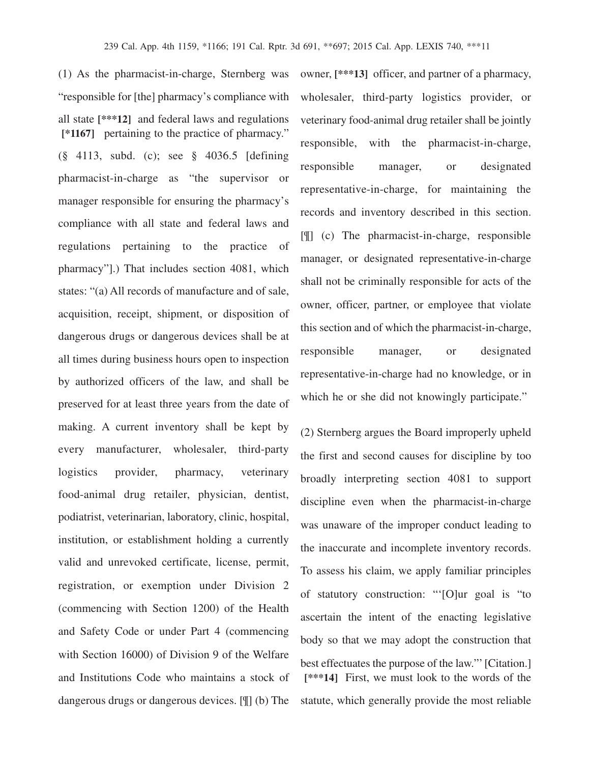(1) As the pharmacist-in-charge, Sternberg was "responsible for [the] pharmacy's compliance with all state **[\*\*\*12]** and federal laws and regulations **[\*1167]** pertaining to the practice of pharmacy." (§ 4113, subd. (c); see § 4036.5 [defining pharmacist-in-charge as "the supervisor or manager responsible for ensuring the pharmacy's compliance with all state and federal laws and regulations pertaining to the practice of pharmacy"].) That includes section 4081, which states: "(a) All records of manufacture and of sale, acquisition, receipt, shipment, or disposition of dangerous drugs or dangerous devices shall be at all times during business hours open to inspection by authorized officers of the law, and shall be preserved for at least three years from the date of making. A current inventory shall be kept by every manufacturer, wholesaler, third-party logistics provider, pharmacy, veterinary food-animal drug retailer, physician, dentist, podiatrist, veterinarian, laboratory, clinic, hospital, institution, or establishment holding a currently valid and unrevoked certificate, license, permit, registration, or exemption under Division 2 (commencing with Section 1200) of the Health and Safety Code or under Part 4 (commencing with Section 16000) of Division 9 of the Welfare and Institutions Code who maintains a stock of dangerous drugs or dangerous devices. [¶] (b) The

owner, **[\*\*\*13]** officer, and partner of a pharmacy, wholesaler, third-party logistics provider, or veterinary food-animal drug retailer shall be jointly responsible, with the pharmacist-in-charge, responsible manager, or designated representative-in-charge, for maintaining the records and inventory described in this section. [¶] (c) The pharmacist-in-charge, responsible manager, or designated representative-in-charge shall not be criminally responsible for acts of the owner, officer, partner, or employee that violate this section and of which the pharmacist-in-charge, responsible manager, or designated representative-in-charge had no knowledge, or in which he or she did not knowingly participate."

(2) Sternberg argues the Board improperly upheld the first and second causes for discipline by too broadly interpreting section 4081 to support discipline even when the pharmacist-in-charge was unaware of the improper conduct leading to the inaccurate and incomplete inventory records. To assess his claim, we apply familiar principles of statutory construction: "'[O]ur goal is "to ascertain the intent of the enacting legislative body so that we may adopt the construction that best effectuates the purpose of the law."' [Citation.] **[\*\*\*14]** First, we must look to the words of the statute, which generally provide the most reliable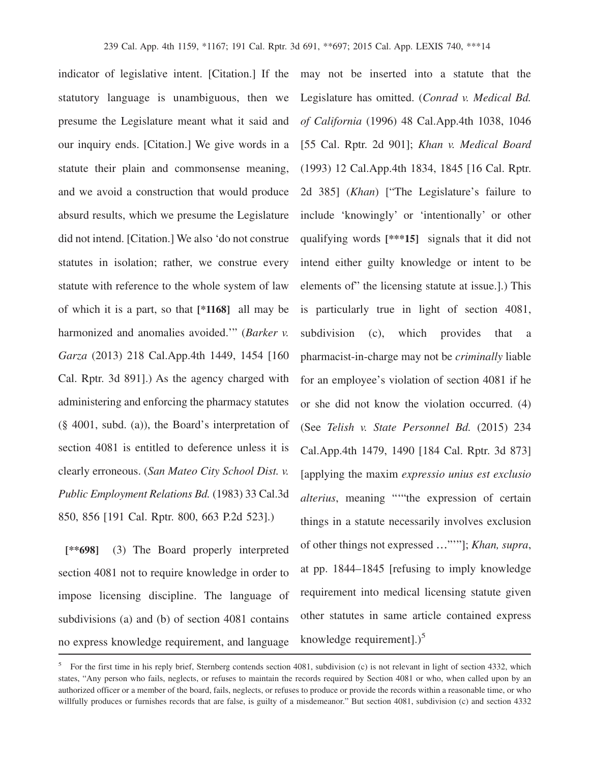indicator of legislative intent. [Citation.] If the may not be inserted into a statute that the statutory language is unambiguous, then we presume the Legislature meant what it said and our inquiry ends. [Citation.] We give words in a statute their plain and commonsense meaning, and we avoid a construction that would produce absurd results, which we presume the Legislature did not intend. [Citation.] We also 'do not construe statutes in isolation; rather, we construe every statute with reference to the whole system of law of which it is a part, so that **[\*1168]** all may be harmonized and anomalies avoided.'" (*Barker v. Garza* (2013) 218 Cal.App.4th 1449, 1454 [160 Cal. Rptr. 3d 891].) As the agency charged with administering and enforcing the pharmacy statutes (§ 4001, subd. (a)), the Board's interpretation of section 4081 is entitled to deference unless it is clearly erroneous. (*San Mateo City School Dist. v. Public Employment Relations Bd.* (1983) 33 Cal.3d 850, 856 [191 Cal. Rptr. 800, 663 P.2d 523].)

**[\*\*698]** (3) The Board properly interpreted section 4081 not to require knowledge in order to impose licensing discipline. The language of subdivisions (a) and (b) of section 4081 contains no express knowledge requirement, and language

Legislature has omitted. (*Conrad v. Medical Bd. of California* (1996) 48 Cal.App.4th 1038, 1046 [55 Cal. Rptr. 2d 901]; *Khan v. Medical Board* (1993) 12 Cal.App.4th 1834, 1845 [16 Cal. Rptr. 2d 385] (*Khan*) ["The Legislature's failure to include 'knowingly' or 'intentionally' or other qualifying words **[\*\*\*15]** signals that it did not intend either guilty knowledge or intent to be elements of" the licensing statute at issue.].) This is particularly true in light of section 4081, subdivision (c), which provides that a pharmacist-in-charge may not be *criminally* liable for an employee's violation of section 4081 if he or she did not know the violation occurred. (4) (See *Telish v. State Personnel Bd.* (2015) 234 Cal.App.4th 1479, 1490 [184 Cal. Rptr. 3d 873] [applying the maxim *expressio unius est exclusio alterius*, meaning "'"the expression of certain things in a statute necessarily involves exclusion of other things not expressed …"'"]; *Khan, supra*, at pp. 1844–1845 [refusing to imply knowledge requirement into medical licensing statute given other statutes in same article contained express knowledge requirement]. $)^5$ 

<sup>&</sup>lt;sup>5</sup> For the first time in his reply brief, Sternberg contends section 4081, subdivision (c) is not relevant in light of section 4332, which states, "Any person who fails, neglects, or refuses to maintain the records required by Section 4081 or who, when called upon by an authorized officer or a member of the board, fails, neglects, or refuses to produce or provide the records within a reasonable time, or who willfully produces or furnishes records that are false, is guilty of a misdemeanor." But section 4081, subdivision (c) and section 4332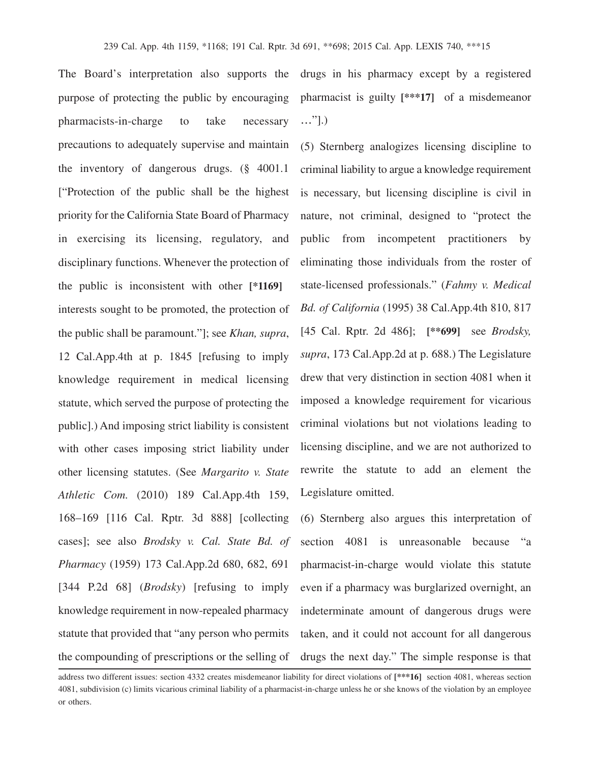The Board's interpretation also supports the purpose of protecting the public by encouraging pharmacists-in-charge to take necessary precautions to adequately supervise and maintain the inventory of dangerous drugs. (§ 4001.1 ["Protection of the public shall be the highest priority for the California State Board of Pharmacy in exercising its licensing, regulatory, and disciplinary functions. Whenever the protection of the public is inconsistent with other **[\*1169]** interests sought to be promoted, the protection of the public shall be paramount."]; see *Khan, supra*, 12 Cal.App.4th at p. 1845 [refusing to imply knowledge requirement in medical licensing statute, which served the purpose of protecting the public].) And imposing strict liability is consistent with other cases imposing strict liability under other licensing statutes. (See *Margarito v. State Athletic Com.* (2010) 189 Cal.App.4th 159, 168–169 [116 Cal. Rptr. 3d 888] [collecting cases]; see also *Brodsky v. Cal. State Bd. of Pharmacy* (1959) 173 [Cal.App.2d](https://Cal.App.2d) 680, 682, 691 [344 P.2d 68] (*Brodsky*) [refusing to imply knowledge requirement in now-repealed pharmacy statute that provided that "any person who permits the compounding of prescriptions or the selling of

drugs in his pharmacy except by a registered pharmacist is guilty **[\*\*\*17]** of a misdemeanor …"].)

(5) Sternberg analogizes licensing discipline to criminal liability to argue a knowledge requirement is necessary, but licensing discipline is civil in nature, not criminal, designed to "protect the public from incompetent practitioners by eliminating those individuals from the roster of state-licensed professionals." (*Fahmy v. Medical Bd. of California* (1995) 38 Cal.App.4th 810, 817 [45 Cal. Rptr. 2d 486]; **[\*\*699]** see *Brodsky, supra*, 173 [Cal.App.2d](https://Cal.App.2d) at p. 688.) The Legislature drew that very distinction in section 4081 when it imposed a knowledge requirement for vicarious criminal violations but not violations leading to licensing discipline, and we are not authorized to rewrite the statute to add an element the Legislature omitted.

(6) Sternberg also argues this interpretation of section 4081 is unreasonable because "a pharmacist-in-charge would violate this statute even if a pharmacy was burglarized overnight, an indeterminate amount of dangerous drugs were taken, and it could not account for all dangerous drugs the next day." The simple response is that

address two different issues: section 4332 creates misdemeanor liability for direct violations of **[\*\*\*16]** section 4081, whereas section 4081, subdivision (c) limits vicarious criminal liability of a pharmacist-in-charge unless he or she knows of the violation by an employee or others.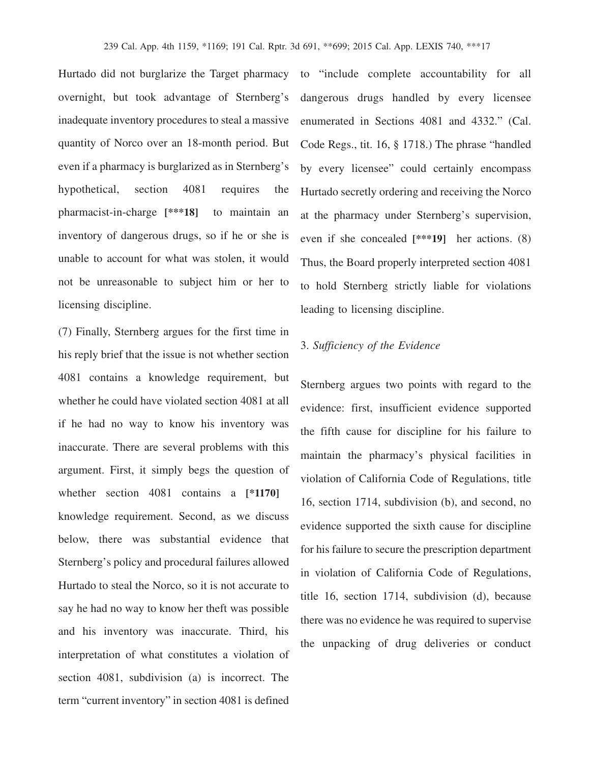Hurtado did not burglarize the Target pharmacy overnight, but took advantage of Sternberg's inadequate inventory procedures to steal a massive quantity of Norco over an 18-month period. But even if a pharmacy is burglarized as in Sternberg's hypothetical, section 4081 requires the pharmacist-in-charge **[\*\*\*18]** to maintain an inventory of dangerous drugs, so if he or she is unable to account for what was stolen, it would not be unreasonable to subject him or her to licensing discipline.

(7) Finally, Sternberg argues for the first time in his reply brief that the issue is not whether section 4081 contains a knowledge requirement, but whether he could have violated section 4081 at all if he had no way to know his inventory was inaccurate. There are several problems with this argument. First, it simply begs the question of whether section 4081 contains a **[\*1170]** knowledge requirement. Second, as we discuss below, there was substantial evidence that Sternberg's policy and procedural failures allowed Hurtado to steal the Norco, so it is not accurate to say he had no way to know her theft was possible and his inventory was inaccurate. Third, his interpretation of what constitutes a violation of section 4081, subdivision (a) is incorrect. The term "current inventory" in section 4081 is defined

to "include complete accountability for all dangerous drugs handled by every licensee enumerated in Sections 4081 and 4332." (Cal. Code Regs., tit. 16, § 1718.) The phrase "handled by every licensee" could certainly encompass Hurtado secretly ordering and receiving the Norco at the pharmacy under Sternberg's supervision, even if she concealed **[\*\*\*19]** her actions. (8) Thus, the Board properly interpreted section 4081 to hold Sternberg strictly liable for violations leading to licensing discipline.

### 3. *Sufficiency of the Evidence*

Sternberg argues two points with regard to the evidence: first, insufficient evidence supported the fifth cause for discipline for his failure to maintain the pharmacy's physical facilities in violation of California Code of Regulations, title 16, section 1714, subdivision (b), and second, no evidence supported the sixth cause for discipline for his failure to secure the prescription department in violation of California Code of Regulations, title 16, section 1714, subdivision (d), because there was no evidence he was required to supervise the unpacking of drug deliveries or conduct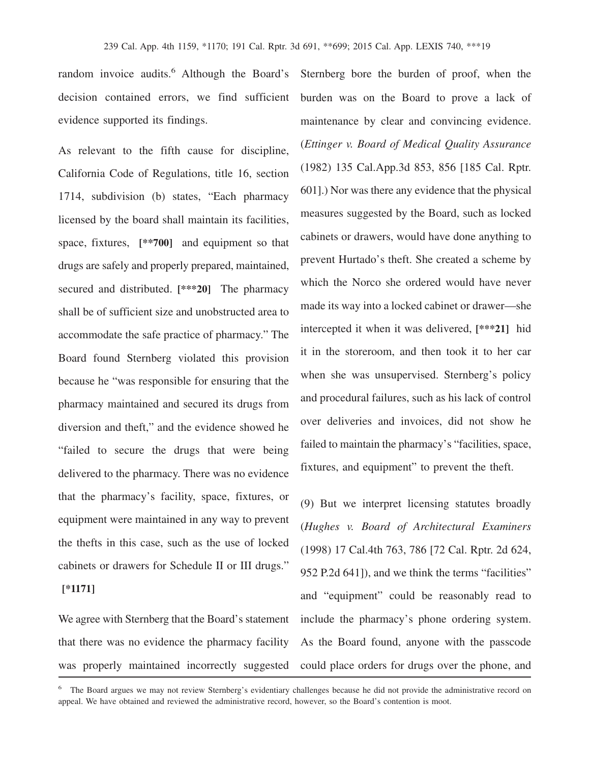random invoice audits.<sup>6</sup> Although the Board's decision contained errors, we find sufficient evidence supported its findings.

As relevant to the fifth cause for discipline, California Code of Regulations, title 16, section 1714, subdivision (b) states, "Each pharmacy licensed by the board shall maintain its facilities, space, fixtures, **[\*\*700]** and equipment so that drugs are safely and properly prepared, maintained, secured and distributed. **[\*\*\*20]** The pharmacy shall be of sufficient size and unobstructed area to accommodate the safe practice of pharmacy." The Board found Sternberg violated this provision because he "was responsible for ensuring that the pharmacy maintained and secured its drugs from diversion and theft," and the evidence showed he "failed to secure the drugs that were being delivered to the pharmacy. There was no evidence that the pharmacy's facility, space, fixtures, or equipment were maintained in any way to prevent the thefts in this case, such as the use of locked cabinets or drawers for Schedule II or III drugs." **[\*1171]**

We agree with Sternberg that the Board's statement that there was no evidence the pharmacy facility was properly maintained incorrectly suggested

Sternberg bore the burden of proof, when the burden was on the Board to prove a lack of maintenance by clear and convincing evidence. (*Ettinger v. Board of Medical Quality Assurance* (1982) 135 [Cal.App.3d](https://Cal.App.3d) 853, 856 [185 Cal. Rptr. 601].) Nor was there any evidence that the physical measures suggested by the Board, such as locked cabinets or drawers, would have done anything to prevent Hurtado's theft. She created a scheme by which the Norco she ordered would have never made its way into a locked cabinet or drawer—she intercepted it when it was delivered, **[\*\*\*21]** hid it in the storeroom, and then took it to her car when she was unsupervised. Sternberg's policy and procedural failures, such as his lack of control over deliveries and invoices, did not show he failed to maintain the pharmacy's "facilities, space, fixtures, and equipment" to prevent the theft.

(9) But we interpret licensing statutes broadly (*Hughes v. Board of Architectural Examiners* (1998) 17 Cal.4th 763, 786 [72 Cal. Rptr. 2d 624, 952 P.2d 641]), and we think the terms "facilities" and "equipment" could be reasonably read to include the pharmacy's phone ordering system. As the Board found, anyone with the passcode could place orders for drugs over the phone, and

<sup>6</sup> The Board argues we may not review Sternberg's evidentiary challenges because he did not provide the administrative record on appeal. We have obtained and reviewed the administrative record, however, so the Board's contention is moot.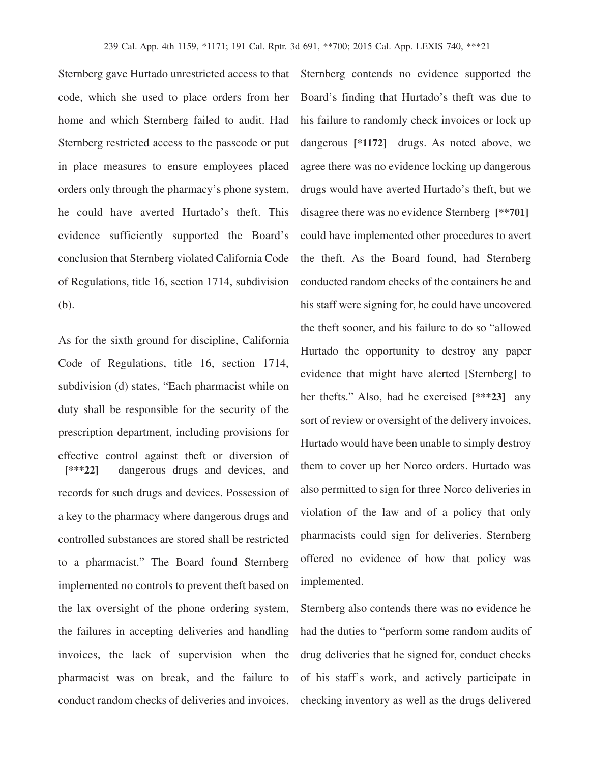Sternberg gave Hurtado unrestricted access to that code, which she used to place orders from her home and which Sternberg failed to audit. Had Sternberg restricted access to the passcode or put in place measures to ensure employees placed orders only through the pharmacy's phone system, he could have averted Hurtado's theft. This evidence sufficiently supported the Board's conclusion that Sternberg violated California Code of Regulations, title 16, section 1714, subdivision (b).

As for the sixth ground for discipline, California Code of Regulations, title 16, section 1714, subdivision (d) states, "Each pharmacist while on duty shall be responsible for the security of the prescription department, including provisions for effective control against theft or diversion of **[\*\*\*22]** dangerous drugs and devices, and records for such drugs and devices. Possession of a key to the pharmacy where dangerous drugs and controlled substances are stored shall be restricted to a pharmacist." The Board found Sternberg implemented no controls to prevent theft based on the lax oversight of the phone ordering system, the failures in accepting deliveries and handling invoices, the lack of supervision when the pharmacist was on break, and the failure to conduct random checks of deliveries and invoices.

Sternberg contends no evidence supported the Board's finding that Hurtado's theft was due to his failure to randomly check invoices or lock up dangerous **[\*1172]** drugs. As noted above, we agree there was no evidence locking up dangerous drugs would have averted Hurtado's theft, but we disagree there was no evidence Sternberg **[\*\*701]** could have implemented other procedures to avert the theft. As the Board found, had Sternberg conducted random checks of the containers he and his staff were signing for, he could have uncovered the theft sooner, and his failure to do so "allowed Hurtado the opportunity to destroy any paper evidence that might have alerted [Sternberg] to her thefts." Also, had he exercised **[\*\*\*23]** any sort of review or oversight of the delivery invoices, Hurtado would have been unable to simply destroy them to cover up her Norco orders. Hurtado was also permitted to sign for three Norco deliveries in violation of the law and of a policy that only pharmacists could sign for deliveries. Sternberg offered no evidence of how that policy was implemented.

Sternberg also contends there was no evidence he had the duties to "perform some random audits of drug deliveries that he signed for, conduct checks of his staff's work, and actively participate in checking inventory as well as the drugs delivered